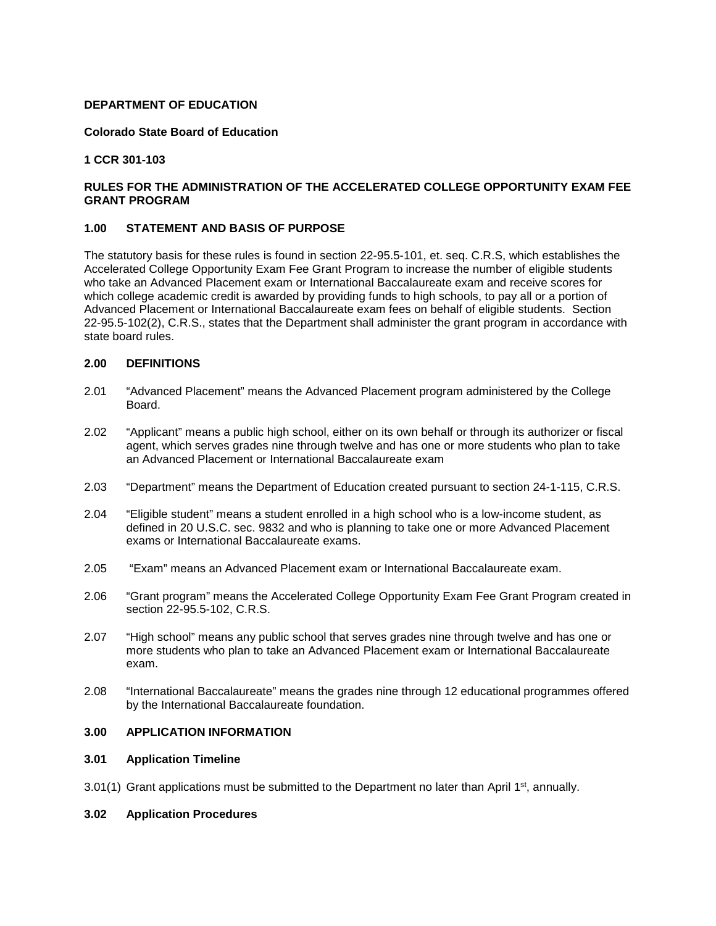## **DEPARTMENT OF EDUCATION**

## **Colorado State Board of Education**

### **1 CCR 301-103**

# **RULES FOR THE ADMINISTRATION OF THE ACCELERATED COLLEGE OPPORTUNITY EXAM FEE GRANT PROGRAM**

## **1.00 STATEMENT AND BASIS OF PURPOSE**

The statutory basis for these rules is found in section 22-95.5-101, et. seq. C.R.S, which establishes the Accelerated College Opportunity Exam Fee Grant Program to increase the number of eligible students who take an Advanced Placement exam or International Baccalaureate exam and receive scores for which college academic credit is awarded by providing funds to high schools, to pay all or a portion of Advanced Placement or International Baccalaureate exam fees on behalf of eligible students. Section 22-95.5-102(2), C.R.S., states that the Department shall administer the grant program in accordance with state board rules.

# **2.00 DEFINITIONS**

- 2.01 "Advanced Placement" means the Advanced Placement program administered by the College Board.
- 2.02 "Applicant" means a public high school, either on its own behalf or through its authorizer or fiscal agent, which serves grades nine through twelve and has one or more students who plan to take an Advanced Placement or International Baccalaureate exam
- 2.03 "Department" means the Department of Education created pursuant to section 24-1-115, C.R.S.
- 2.04 "Eligible student" means a student enrolled in a high school who is a low-income student, as defined in 20 U.S.C. sec. 9832 and who is planning to take one or more Advanced Placement exams or International Baccalaureate exams.
- 2.05 "Exam" means an Advanced Placement exam or International Baccalaureate exam.
- 2.06 "Grant program" means the Accelerated College Opportunity Exam Fee Grant Program created in section 22-95.5-102, C.R.S.
- 2.07 "High school" means any public school that serves grades nine through twelve and has one or more students who plan to take an Advanced Placement exam or International Baccalaureate exam.
- 2.08 "International Baccalaureate" means the grades nine through 12 educational programmes offered by the International Baccalaureate foundation.

# **3.00 APPLICATION INFORMATION**

### **3.01 Application Timeline**

 $3.01(1)$  Grant applications must be submitted to the Department no later than April 1<sup>st</sup>, annually.

### **3.02 Application Procedures**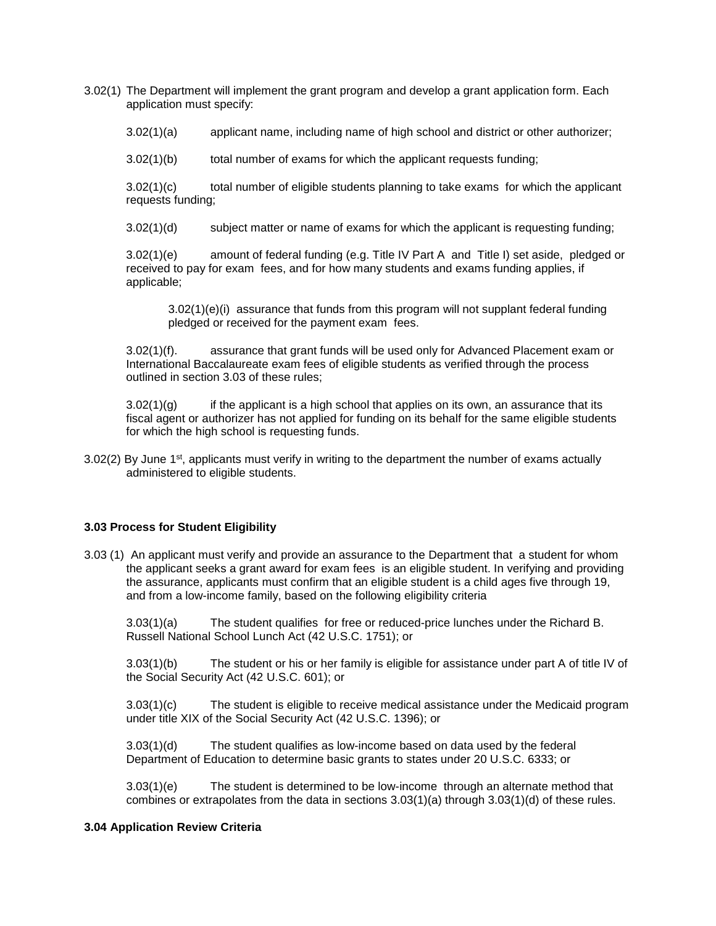- 3.02(1) The Department will implement the grant program and develop a grant application form. Each application must specify:
	- 3.02(1)(a) applicant name, including name of high school and district or other authorizer;
	- 3.02(1)(b) total number of exams for which the applicant requests funding;

3.02(1)(c) total number of eligible students planning to take exams for which the applicant requests funding;

3.02(1)(d) subject matter or name of exams for which the applicant is requesting funding;

3.02(1)(e) amount of federal funding (e.g. Title IV Part A and Title I) set aside, pledged or received to pay for exam fees, and for how many students and exams funding applies, if applicable;

 $3.02(1)(e)(i)$  assurance that funds from this program will not supplant federal funding pledged or received for the payment exam fees.

3.02(1)(f). assurance that grant funds will be used only for Advanced Placement exam or International Baccalaureate exam fees of eligible students as verified through the process outlined in section 3.03 of these rules;

 $3.02(1)(g)$  if the applicant is a high school that applies on its own, an assurance that its fiscal agent or authorizer has not applied for funding on its behalf for the same eligible students for which the high school is requesting funds.

 $3.02(2)$  By June 1<sup>st</sup>, applicants must verify in writing to the department the number of exams actually administered to eligible students.

### **3.03 Process for Student Eligibility**

3.03 (1) An applicant must verify and provide an assurance to the Department that a student for whom the applicant seeks a grant award for exam fees is an eligible student. In verifying and providing the assurance, applicants must confirm that an eligible student is a child ages five through 19, and from a low-income family, based on the following eligibility criteria

3.03(1)(a) The student qualifies for free or reduced-price lunches under the Richard B. Russell National School Lunch Act (42 U.S.C. 1751); or

3.03(1)(b) The student or his or her family is eligible for assistance under part A of title IV of the Social Security Act (42 U.S.C. 601); or

3.03(1)(c) The student is eligible to receive medical assistance under the Medicaid program under title XIX of the Social Security Act (42 U.S.C. 1396); or

3.03(1)(d) The student qualifies as low-income based on data used by the federal Department of Education to determine basic grants to states under 20 U.S.C. 6333; or

3.03(1)(e) The student is determined to be low-income through an alternate method that combines or extrapolates from the data in sections 3.03(1)(a) through 3.03(1)(d) of these rules.

### **3.04 Application Review Criteria**